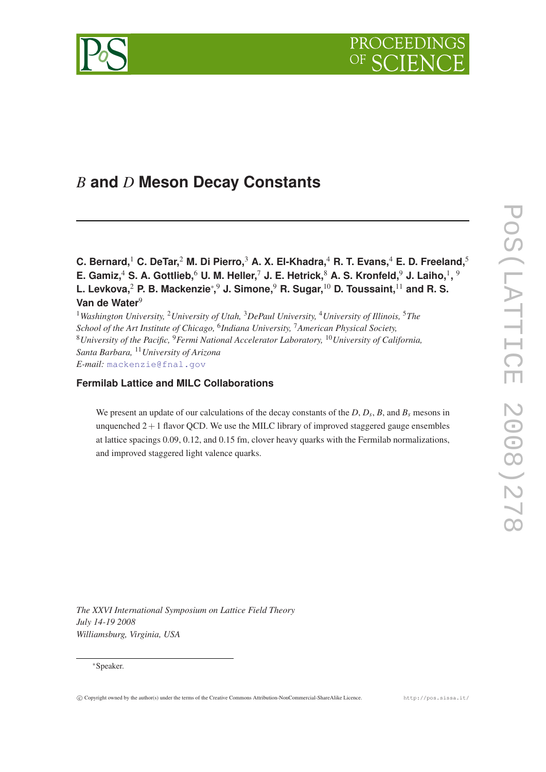



# *B* **and** *D* **Meson Decay Constants**

**C. Bernard,**<sup>1</sup> **C. DeTar,**<sup>2</sup> **M. Di Pierro,**<sup>3</sup> **A. X. El-Khadra,**<sup>4</sup> **R. T. Evans,**<sup>4</sup> **E. D. Freeland,**<sup>5</sup> **E. Gamiz,**<sup>4</sup> **S. A. Gottlieb,**<sup>6</sup> **U. M. Heller,**<sup>7</sup> **J. E. Hetrick,**<sup>8</sup> **A. S. Kronfeld,**<sup>9</sup> **J. Laiho,**<sup>1</sup> **,** 9 **L. Levkova,**<sup>2</sup> **P. B. Mackenzie**<sup>∗</sup> **,** <sup>9</sup> **J. Simone,**<sup>9</sup> **R. Sugar,**<sup>10</sup> **D. Toussaint,**<sup>11</sup> **and R. S. Van de Water**<sup>9</sup>

<sup>1</sup>*Washington University,* <sup>2</sup>*University of Utah,* <sup>3</sup>*DePaul University,* <sup>4</sup>*University of Illinois,* <sup>5</sup>*The School of the Art Institute of Chicago,* <sup>6</sup> *Indiana University,* <sup>7</sup>*American Physical Society,* <sup>8</sup>*University of the Pacific,* <sup>9</sup>*Fermi National Accelerator Laboratory,* <sup>10</sup>*University of California, Santa Barbara,* <sup>11</sup>*University of Arizona E-mail:* [mackenzie@fnal.gov](mailto:mackenzie@fnal.gov)

# **Fermilab Lattice and MILC Collaborations**

We present an update of our calculations of the decay constants of the *D*, *D<sup>s</sup>* , *B*, and *B<sup>s</sup>* mesons in unquenched  $2+1$  flavor QCD. We use the MILC library of improved staggered gauge ensembles at lattice spacings 0.09, 0.12, and 0.15 fm, clover heavy quarks with the Fermilab normalizations, and improved staggered light valence quarks.

*The XXVI International Symposium on Lattice Field Theory July 14-19 2008 Williamsburg, Virginia, USA*

# <sup>∗</sup>Speaker.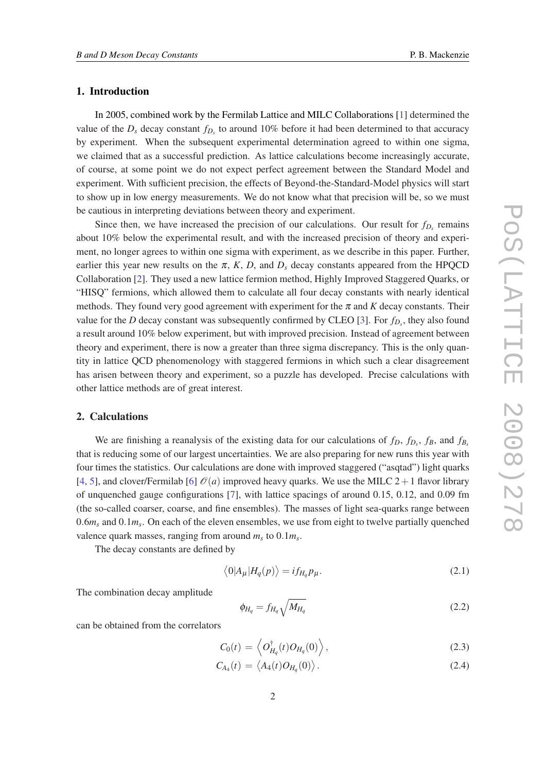# 1. Introduction

In 2005, combined work by the Fermilab Lattice and MILC Collaborations [\[1\]](#page-6-0) determined the value of the  $D_s$  decay constant  $f_{D_s}$  to around 10% before it had been determined to that accuracy by experiment. When the subsequent experimental determination agreed to within one sigma, we claimed that as a successful prediction. As lattice calculations become increasingly accurate, of course, at some point we do not expect perfect agreement between the Standard Model and experiment. With sufficient precision, the effects of Beyond-the-Standard-Model physics will start to show up in low energy measurements. We do not know what that precision will be, so we must be cautious in interpreting deviations between theory and experiment.

Since then, we have increased the precision of our calculations. Our result for  $f_{D_s}$  remains about 10% below the experimental result, and with the increased precision of theory and experiment, no longer agrees to within one sigma with experiment, as we describe in this paper. Further, earlier this year new results on the  $\pi$ ,  $K$ ,  $D$ , and  $D<sub>s</sub>$  decay constants appeared from the HPQCD Collaboration [\[2\]](#page-6-0). They used a new lattice fermion method, Highly Improved Staggered Quarks, or "HISQ" fermions, which allowed them to calculate all four decay constants with nearly identical methods. They found very good agreement with experiment for the  $\pi$  and  $K$  decay constants. Their value for the *D* decay constant was subsequently confirmed by CLEO [[3](#page-6-0)]. For *fD<sup>s</sup>* , they also found a result around 10% below experiment, but with improved precision. Instead of agreement between theory and experiment, there is now a greater than three sigma discrepancy. This is the only quantity in lattice QCD phenomenology with staggered fermions in which such a clear disagreement has arisen between theory and experiment, so a puzzle has developed. Precise calculations with other lattice methods are of great interest.

#### 2. Calculations

We are finishing a reanalysis of the existing data for our calculations of  $f_D$ ,  $f_D$ ,  $f_B$ , and  $f_{B_s}$ that is reducing some of our largest uncertainties. We are also preparing for new runs this year with four times the statistics. Our calculations are done with improved staggered ("asqtad") light quarks [[4](#page-6-0), [5](#page-6-0)], and clover/Fermilab [\[6\]](#page-6-0)  $\mathcal{O}(a)$  improved heavy quarks. We use the MILC 2 + 1 flavor library of unquenched gauge configurations [\[7\]](#page-6-0), with lattice spacings of around 0.15, 0.12, and 0.09 fm (the so-called coarser, coarse, and fine ensembles). The masses of light sea-quarks range between 0.6*m<sup>s</sup>* and 0.1*m<sup>s</sup>* . On each of the eleven ensembles, we use from eight to twelve partially quenched valence quark masses, ranging from around  $m_s$  to  $0.1m_s$ .

The decay constants are defined by

$$
\langle 0|A_{\mu}|H_q(p)\rangle = i f_{H_q} p_{\mu}.
$$
\n(2.1)

The combination decay amplitude

$$
\phi_{H_q} = f_{H_q} \sqrt{M_{H_q}} \tag{2.2}
$$

can be obtained from the correlators

$$
C_0(t) = \left\langle O_{H_q}^{\dagger}(t) O_{H_q}(0) \right\rangle, \tag{2.3}
$$

$$
C_{A_4}(t) = \langle A_4(t)O_{H_q}(0) \rangle. \tag{2.4}
$$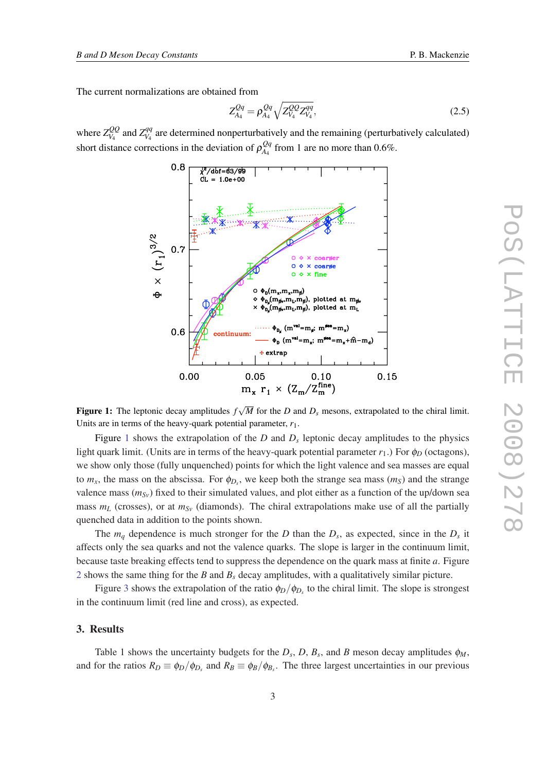The current normalizations are obtained from

$$
Z_{A_4}^{Qq} = \rho_{A_4}^{Qq} \sqrt{Z_{V_4}^{QQ} Z_{V_4}^{qq}},
$$
\n(2.5)

where  $Z_{V_A}^{QQ}$  $Z_{V_4}^{QQ}$  and  $Z_{V_4}^{qq}$  $V_{V_4}^{qq}$  are determined nonperturbatively and the remaining (perturbatively calculated) short distance corrections in the deviation of  $\rho_{A_4}^{Qq}$  $\frac{Qq}{A_4}$  from 1 are no more than 0.6%.



Figure 1: The leptonic decay amplitudes *f M* for the *D* and *D<sup>s</sup>* mesons, extrapolated to the chiral limit. Units are in terms of the heavy-quark potential parameter, *r*1.

Figure 1 shows the extrapolation of the  $D$  and  $D<sub>s</sub>$  leptonic decay amplitudes to the physics light quark limit. (Units are in terms of the heavy-quark potential parameter  $r_1$ .) For  $\phi_D$  (octagons), we show only those (fully unquenched) points for which the light valence and sea masses are equal to  $m_x$ , the mass on the abscissa. For  $\phi_{D_s}$ , we keep both the strange sea mass  $(m_S)$  and the strange valence mass  $(m_{Sv})$  fixed to their simulated values, and plot either as a function of the up/down sea mass  $m_l$  (crosses), or at  $m_{S_V}$  (diamonds). The chiral extrapolations make use of all the partially quenched data in addition to the points shown.

The  $m_q$  dependence is much stronger for the *D* than the  $D_s$ , as expected, since in the  $D_s$  it affects only the sea quarks and not the valence quarks. The slope is larger in the continuum limit, because taste breaking effects tend to suppress the dependence on the quark mass at finite *a*. Figure [2](#page-3-0) shows the same thing for the *B* and *B<sup>s</sup>* decay amplitudes, with a qualitatively similar picture.

Figure [3](#page-4-0) shows the extrapolation of the ratio  $\phi_D/\phi_{D_s}$  to the chiral limit. The slope is strongest in the continuum limit (red line and cross), as expected.

## 3. Results

Table 1 shows the uncertainty budgets for the  $D_s$ ,  $D$ ,  $B_s$ , and  $B$  meson decay amplitudes  $\phi_M$ , and for the ratios  $R_D \equiv \phi_D/\phi_{D_s}$  and  $R_B \equiv \phi_B/\phi_{B_s}$ . The three largest uncertainties in our previous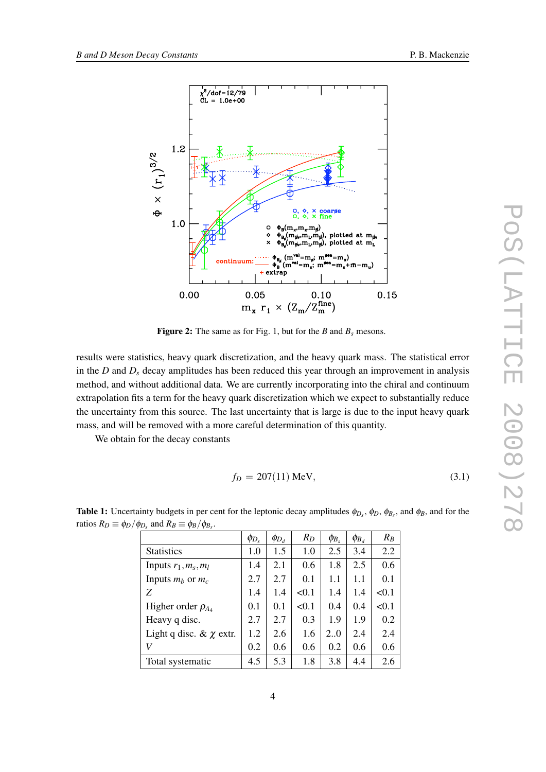

<span id="page-3-0"></span>

Figure 2: The same as for Fig. 1, but for the *B* and  $B_s$  mesons.

results were statistics, heavy quark discretization, and the heavy quark mass. The statistical error in the *D* and *D<sup>s</sup>* decay amplitudes has been reduced this year through an improvement in analysis method, and without additional data. We are currently incorporating into the chiral and continuum extrapolation fits a term for the heavy quark discretization which we expect to substantially reduce the uncertainty from this source. The last uncertainty that is large is due to the input heavy quark mass, and will be removed with a more careful determination of this quantity.

We obtain for the decay constants

$$
f_D = 207(11) \text{ MeV}, \tag{3.1}
$$

|                               | $\phi_{D_s}$ | $\phi_{D_d}$ | $R_D$ | $\phi_{B_s}$ | $\phi_{B_d}$ | $R_B$ |
|-------------------------------|--------------|--------------|-------|--------------|--------------|-------|
| <b>Statistics</b>             | 1.0          | 1.5          | 1.0   | 2.5          | 3.4          | 2.2   |
| Inputs $r_1, m_s, m_l$        | 1.4          | 2.1          | 0.6   | 1.8          | 2.5          | 0.6   |
| Inputs $m_b$ or $m_c$         | 2.7          | 2.7          | 0.1   | 1.1          | 1.1          | 0.1   |
| Z                             | 1.4          | 1.4          | < 0.1 | 1.4          | 1.4          | < 0.1 |
| Higher order $\rho_{A_4}$     | 0.1          | 0.1          | < 0.1 | 0.4          | 0.4          | < 0.1 |
| Heavy q disc.                 | 2.7          | 2.7          | 0.3   | 1.9          | 1.9          | 0.2   |
| Light q disc. $\& \chi$ extr. | 1.2          | 2.6          | 1.6   | 2.0          | 2.4          | 2.4   |
| V                             | 0.2          | 0.6          | 0.6   | 0.2          | 0.6          | 0.6   |
| Total systematic              | 4.5          | 5.3          | 1.8   | 3.8          | 4.4          | 2.6   |

**Table 1:** Uncertainty budgets in per cent for the leptonic decay amplitudes  $\phi_{D_s}$ ,  $\phi_D$ ,  $\phi_{B_s}$ , and  $\phi_B$ , and for the ratios  $R_D \equiv \phi_D / \phi_{D_s}$  and  $R_B \equiv \phi_B / \phi_{B_s}$ .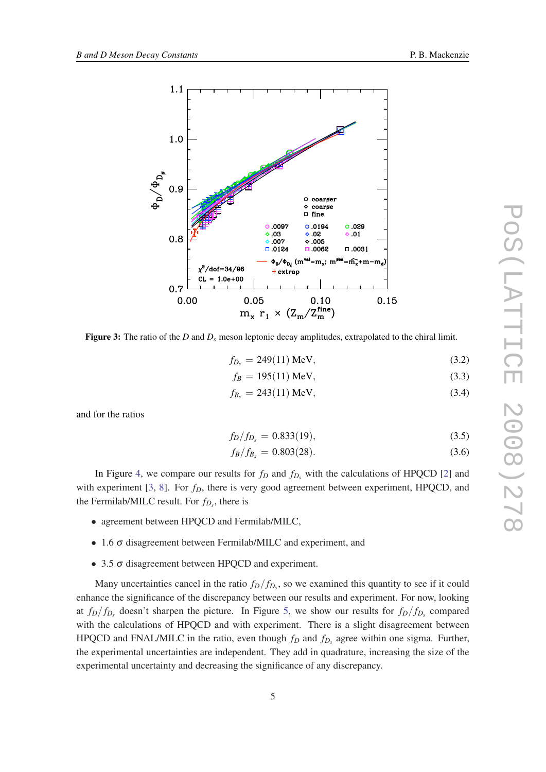<span id="page-4-0"></span>

Figure 3: The ratio of the *D* and *D<sup>s</sup>* meson leptonic decay amplitudes, extrapolated to the chiral limit.

$$
f_{D_s} = 249(11) \text{ MeV}, \tag{3.2}
$$

$$
f_B = 195(11) \text{ MeV}, \tag{3.3}
$$

$$
f_{B_s} = 243(11) \text{ MeV}, \tag{3.4}
$$

and for the ratios

$$
f_D/f_{D_s} = 0.833(19),\tag{3.5}
$$

$$
f_B/f_{B_s} = 0.803(28). \tag{3.6}
$$

In Figure [4](#page-5-0), we compare our results for  $f_D$  and  $f_{D_s}$  with the calculations of HPQCD [[2](#page-6-0)] and with experiment [[3](#page-6-0), [8\]](#page-6-0). For  $f<sub>D</sub>$ , there is very good agreement between experiment, HPQCD, and the Fermilab/MILC result. For  $f_{D_s}$ , there is

- agreement between HPQCD and Fermilab/MILC,
- 1.6 σ disagreement between Fermilab/MILC and experiment, and
- 3.5 σ disagreement between HPQCD and experiment.

Many uncertainties cancel in the ratio  $f_D/f_{D_s}$ , so we examined this quantity to see if it could enhance the significance of the discrepancy between our results and experiment. For now, looking at  $f_D/f_{D_s}$  doesn't sharpen the picture. In Figure [5](#page-6-0), we show our results for  $f_D/f_{D_s}$  compared with the calculations of HPQCD and with experiment. There is a slight disagreement between HPQCD and FNAL/MILC in the ratio, even though  $f_D$  and  $f_{D_s}$  agree within one sigma. Further, the experimental uncertainties are independent. They add in quadrature, increasing the size of the experimental uncertainty and decreasing the significance of any discrepancy.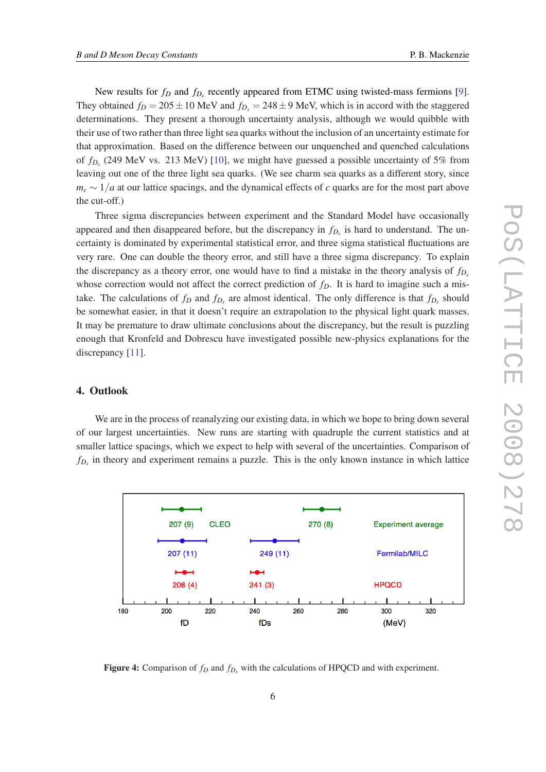<span id="page-5-0"></span>New results for  $f_D$  and  $f_{D_s}$  recently appeared from ETMC using twisted-mass fermions [\[9\]](#page-6-0). They obtained  $f_D = 205 \pm 10$  MeV and  $f_{D_s} = 248 \pm 9$  MeV, which is in accord with the staggered determinations. They present a thorough uncertainty analysis, although we would quibble with their use of two rather than three light sea quarks without the inclusion of an uncertainty estimate for that approximation. Based on the difference between our unquenched and quenched calculations of *fD<sup>s</sup>* (249 MeV vs. 213 MeV) [\[10\]](#page-6-0), we might have guessed a possible uncertainty of 5% from leaving out one of the three light sea quarks. (We see charm sea quarks as a different story, since  $m_c \sim 1/a$  at our lattice spacings, and the dynamical effects of *c* quarks are for the most part above the cut-off.)

Three sigma discrepancies between experiment and the Standard Model have occasionally appeared and then disappeared before, but the discrepancy in *fD<sup>s</sup>* is hard to understand. The uncertainty is dominated by experimental statistical error, and three sigma statistical fluctuations are very rare. One can double the theory error, and still have a three sigma discrepancy. To explain the discrepancy as a theory error, one would have to find a mistake in the theory analysis of  $f<sub>D</sub>$ <sup>*s*</sup> whose correction would not affect the correct prediction of  $f<sub>D</sub>$ . It is hard to imagine such a mistake. The calculations of  $f_D$  and  $f_{D_s}$  are almost identical. The only difference is that  $f_{D_s}$  should be somewhat easier, in that it doesn't require an extrapolation to the physical light quark masses. It may be premature to draw ultimate conclusions about the discrepancy, but the result is puzzling enough that Kronfeld and Dobrescu have investigated possible new-physics explanations for the discrepancy [[11\]](#page-6-0).

# 4. Outlook

We are in the process of reanalyzing our existing data, in which we hope to bring down several of our largest uncertainties. New runs are starting with quadruple the current statistics and at smaller lattice spacings, which we expect to help with several of the uncertainties. Comparison of  $f_{D_s}$  in theory and experiment remains a puzzle. This is the only known instance in which lattice



Figure 4: Comparison of *f<sup>D</sup>* and *fD<sup>s</sup>* with the calculations of HPQCD and with experiment.